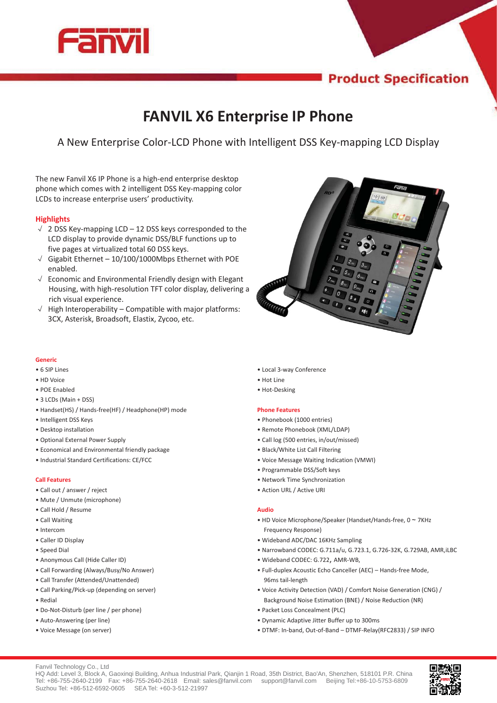

# **Product Specification**

# **FANVIL X6 Enterprise IP Phone**

A New Enterprise Color-LCD Phone with Intelligent DSS Key-mapping LCD Display

The new Fanvil X6 IP Phone is a high-end enterprise desktop phone which comes with 2 intelligent DSS Key-mapping color LCDs to increase enterprise users' productivity.

# **Highlights**

- $\sqrt{2}$  2 DSS Key-mapping LCD 12 DSS keys corresponded to the LCD display to provide dynamic DSS/BLF functions up to five pages at virtualized total 60 DSS keys. LCD display to provide dynamic DSS/BLF functions up to<br>five pages at virtualized total 60 DSS keys.<br> $\sqrt{\phantom{0}}$  Gigabit Ethernet – 10/100/1000Mbps Ethernet with POE
- enabled.
- $\sqrt{ }$  Economic and Environmental Friendly design with Elegant Housing, with high-resolution TFT color display, delivering a rich visual experience. Housing, with high-resolution TFT color display, delivering<br>rich visual experience.<br> $\sqrt{\phantom{a}}$  High Interoperability – Compatible with major platforms:
- 3CX, Asterisk, Broadsoft, Elastix, Zycoo, etc.



## **Generic**

- 6 SIP Lines
- HD Voice
- POE Enabled
- 3 LCDs (Main + DSS)
- Handset(HS) / Hands-free(HF) / Headphone(HP) mode
- Intelligent DSS Keys
- Desktop installation
- Optional External Power Supply
- Economical and Environmental friendly package
- Industrial Standard Certifications: CE/FCC

### **Call Features**

- Call out / answer / reject
- Mute / Unmute (microphone)
- Call Hold / Resume
- Call Waiting
- Intercom
- Caller ID Display
- Speed Dial
- Anonymous Call (Hide Caller ID)
- Call Forwarding (Always/Busy/No Answer)
- Call Transfer (Attended/Unattended)
- Call Parking/Pick-up (depending on server)
- Redial
- Do-Not-Disturb (per line / per phone)
- Auto-Answering (per line)
- Voice Message (on server)
- Local 3-way Conference
- Hot Line • Hot-Desking
- 

#### **Phone Features**

- Phonebook (1000 entries)
- Remote Phonebook (XML/LDAP)
- Call log (500 entries, in/out/missed)
- Black/White List Call Filtering
- Voice Message Waiting Indication (VMWI)
- Programmable DSS/Soft keys
- Network Time Synchronization
- Action URL / Active URI

#### **Audio**

- HD Voice Microphone/Speaker (Handset/Hands-free,  $0 \sim 7$ KHz Frequency Response)
- Wideband ADC/DAC 16KHz Sampling
- Narrowband CODEC: G.711a/u, G.723.1, G.726-32K, G.729AB, AMR,iLBC
- Wideband CODEC: G.722, AMR-WB,
- Full-duplex Acoustic Echo Canceller (AEC) Hands-free Mode, 96ms tail-length
- Voice Activity Detection (VAD) / Comfort Noise Generation (CNG) / Background Noise Estimation (BNE) / Noise Reduction (NR)
- Packet Loss Concealment (PLC)
- Dynamic Adaptive Jitter Buffer up to 300ms
- DTMF: In-band, Out-of-Band DTMF-Relay(RFC2833) / SIP INFO